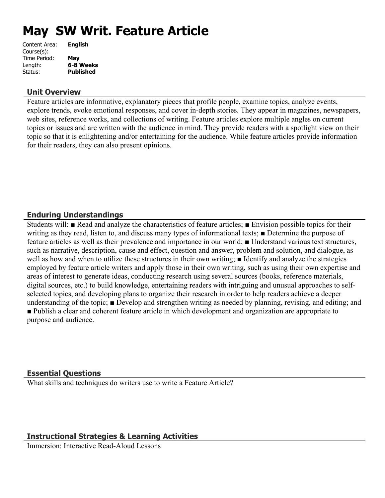# **May SW Writ. Feature Article**

| Content Area: | <b>English</b>   |
|---------------|------------------|
| Course(s):    |                  |
| Time Period:  | May              |
| Length:       | 6-8 Weeks        |
| Status:       | <b>Published</b> |
|               |                  |

### **Unit Overview**

Feature articles are informative, explanatory pieces that profile people, examine topics, analyze events, explore trends, evoke emotional responses, and cover in-depth stories. They appear in magazines, newspapers, web sites, reference works, and collections of writing. Feature articles explore multiple angles on current topics or issues and are written with the audience in mind. They provide readers with a spotlight view on their topic so that it is enlightening and/or entertaining for the audience. While feature articles provide information for their readers, they can also present opinions.

## **Enduring Understandings**

Students will: ■ Read and analyze the characteristics of feature articles; ■ Envision possible topics for their writing as they read, listen to, and discuss many types of informational texts; ■ Determine the purpose of feature articles as well as their prevalence and importance in our world; ■ Understand various text structures, such as narrative, description, cause and effect, question and answer, problem and solution, and dialogue, as well as how and when to utilize these structures in their own writing; ■ Identify and analyze the strategies employed by feature article writers and apply those in their own writing, such as using their own expertise and areas of interest to generate ideas, conducting research using several sources (books, reference materials, digital sources, etc.) to build knowledge, entertaining readers with intriguing and unusual approaches to selfselected topics, and developing plans to organize their research in order to help readers achieve a deeper understanding of the topic; ■ Develop and strengthen writing as needed by planning, revising, and editing; and ■ Publish a clear and coherent feature article in which development and organization are appropriate to purpose and audience.

## **Essential Questions**

What skills and techniques do writers use to write a Feature Article?

## **Instructional Strategies & Learning Activities**

Immersion: Interactive Read-Aloud Lessons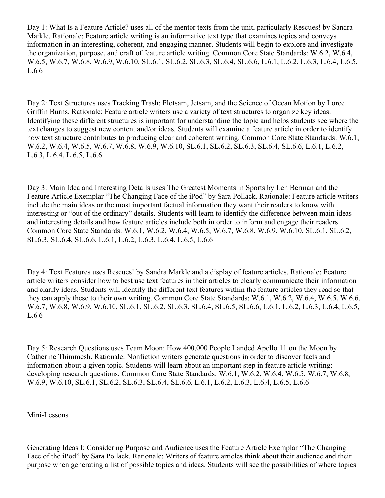Day 1: What Is a Feature Article? uses all of the mentor texts from the unit, particularly Rescues! by Sandra Markle. Rationale: Feature article writing is an informative text type that examines topics and conveys information in an interesting, coherent, and engaging manner. Students will begin to explore and investigate the organization, purpose, and craft of feature article writing. Common Core State Standards: W.6.2, W.6.4, W.6.5, W.6.7, W.6.8, W.6.9, W.6.10, SL.6.1, SL.6.2, SL.6.3, SL.6.4, SL.6.6, L.6.1, L.6.2, L.6.3, L.6.4, L.6.5, L.6.6

Day 2: Text Structures uses Tracking Trash: Flotsam, Jetsam, and the Science of Ocean Motion by Loree Griffin Burns. Rationale: Feature article writers use a variety of text structures to organize key ideas. Identifying these different structures is important for understanding the topic and helps students see where the text changes to suggest new content and/or ideas. Students will examine a feature article in order to identify how text structure contributes to producing clear and coherent writing. Common Core State Standards: W.6.1, W.6.2, W.6.4, W.6.5, W.6.7, W.6.8, W.6.9, W.6.10, SL.6.1, SL.6.2, SL.6.3, SL.6.4, SL.6.6, L.6.1, L.6.2, L.6.3, L.6.4, L.6.5, L.6.6

Day 3: Main Idea and Interesting Details uses The Greatest Moments in Sports by Len Berman and the Feature Article Exemplar "The Changing Face of the iPod" by Sara Pollack. Rationale: Feature article writers include the main ideas or the most important factual information they want their readers to know with interesting or "out of the ordinary" details. Students will learn to identify the difference between main ideas and interesting details and how feature articles include both in order to inform and engage their readers. Common Core State Standards: W.6.1, W.6.2, W.6.4, W.6.5, W.6.7, W.6.8, W.6.9, W.6.10, SL.6.1, SL.6.2, SL.6.3, SL.6.4, SL.6.6, L.6.1, L.6.2, L.6.3, L.6.4, L.6.5, L.6.6

Day 4: Text Features uses Rescues! by Sandra Markle and a display of feature articles. Rationale: Feature article writers consider how to best use text features in their articles to clearly communicate their information and clarify ideas. Students will identify the different text features within the feature articles they read so that they can apply these to their own writing. Common Core State Standards: W.6.1, W.6.2, W.6.4, W.6.5, W.6.6, W.6.7, W.6.8, W.6.9, W.6.10, SL.6.1, SL.6.2, SL.6.3, SL.6.4, SL.6.5, SL.6.6, L.6.1, L.6.2, L.6.3, L.6.4, L.6.5, L.6.6

Day 5: Research Questions uses Team Moon: How 400,000 People Landed Apollo 11 on the Moon by Catherine Thimmesh. Rationale: Nonfiction writers generate questions in order to discover facts and information about a given topic. Students will learn about an important step in feature article writing: developing research questions. Common Core State Standards: W.6.1, W.6.2, W.6.4, W.6.5, W.6.7, W.6.8, W.6.9, W.6.10, SL.6.1, SL.6.2, SL.6.3, SL.6.4, SL.6.6, L.6.1, L.6.2, L.6.3, L.6.4, L.6.5, L.6.6

#### Mini-Lessons

Generating Ideas I: Considering Purpose and Audience uses the Feature Article Exemplar "The Changing Face of the iPod" by Sara Pollack. Rationale: Writers of feature articles think about their audience and their purpose when generating a list of possible topics and ideas. Students will see the possibilities of where topics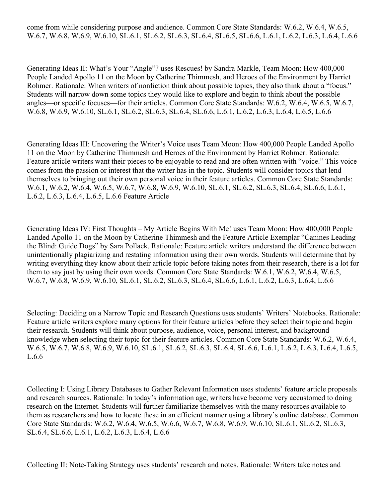Generating Ideas II: What's Your "Angle"? uses Rescues! by Sandra Markle, Team Moon: How 400,000 People Landed Apollo 11 on the Moon by Catherine Thimmesh, and Heroes of the Environment by Harriet Rohmer. Rationale: When writers of nonfiction think about possible topics, they also think about a "focus." Students will narrow down some topics they would like to explore and begin to think about the possible angles—or specific focuses—for their articles. Common Core State Standards: W.6.2, W.6.4, W.6.5, W.6.7, W.6.8, W.6.9, W.6.10, SL.6.1, SL.6.2, SL.6.3, SL.6.4, SL.6.6, L.6.1, L.6.2, L.6.3, L.6.4, L.6.5, L.6.6

Generating Ideas III: Uncovering the Writer's Voice uses Team Moon: How 400,000 People Landed Apollo 11 on the Moon by Catherine Thimmesh and Heroes of the Environment by Harriet Rohmer. Rationale: Feature article writers want their pieces to be enjoyable to read and are often written with "voice." This voice comes from the passion or interest that the writer has in the topic. Students will consider topics that lend themselves to bringing out their own personal voice in their feature articles. Common Core State Standards: W.6.1, W.6.2, W.6.4, W.6.5, W.6.7, W.6.8, W.6.9, W.6.10, SL.6.1, SL.6.2, SL.6.3, SL.6.4, SL.6.6, L.6.1, L.6.2, L.6.3, L.6.4, L.6.5, L.6.6 Feature Article

Generating Ideas IV: First Thoughts – My Article Begins With Me! uses Team Moon: How 400,000 People Landed Apollo 11 on the Moon by Catherine Thimmesh and the Feature Article Exemplar "Canines Leading the Blind: Guide Dogs" by Sara Pollack. Rationale: Feature article writers understand the difference between unintentionally plagiarizing and restating information using their own words. Students will determine that by writing everything they know about their article topic before taking notes from their research, there is a lot for them to say just by using their own words. Common Core State Standards: W.6.1, W.6.2, W.6.4, W.6.5, W.6.7, W.6.8, W.6.9, W.6.10, SL.6.1, SL.6.2, SL.6.3, SL.6.4, SL.6.6, L.6.1, L.6.2, L.6.3, L.6.4, L.6.6

Selecting: Deciding on a Narrow Topic and Research Questions uses students' Writers' Notebooks. Rationale: Feature article writers explore many options for their feature articles before they select their topic and begin their research. Students will think about purpose, audience, voice, personal interest, and background knowledge when selecting their topic for their feature articles. Common Core State Standards: W.6.2, W.6.4, W.6.5, W.6.7, W.6.8, W.6.9, W.6.10, SL.6.1, SL.6.2, SL.6.3, SL.6.4, SL.6.6, L.6.1, L.6.2, L.6.3, L.6.4, L.6.5, L.6.6

Collecting I: Using Library Databases to Gather Relevant Information uses students' feature article proposals and research sources. Rationale: In today's information age, writers have become very accustomed to doing research on the Internet. Students will further familiarize themselves with the many resources available to them as researchers and how to locate these in an efficient manner using a library's online database. Common Core State Standards: W.6.2, W.6.4, W.6.5, W.6.6, W.6.7, W.6.8, W.6.9, W.6.10, SL.6.1, SL.6.2, SL.6.3, SL.6.4, SL.6.6, L.6.1, L.6.2, L.6.3, L.6.4, L.6.6

Collecting II: Note-Taking Strategy uses students' research and notes. Rationale: Writers take notes and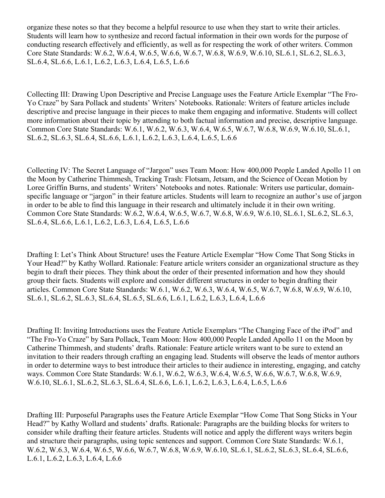organize these notes so that they become a helpful resource to use when they start to write their articles. Students will learn how to synthesize and record factual information in their own words for the purpose of conducting research effectively and efficiently, as well as for respecting the work of other writers. Common Core State Standards: W.6.2, W.6.4, W.6.5, W.6.6, W.6.7, W.6.8, W.6.9, W.6.10, SL.6.1, SL.6.2, SL.6.3, SL.6.4, SL.6.6, L.6.1, L.6.2, L.6.3, L.6.4, L.6.5, L.6.6

Collecting III: Drawing Upon Descriptive and Precise Language uses the Feature Article Exemplar "The Fro-Yo Craze" by Sara Pollack and students' Writers' Notebooks. Rationale: Writers of feature articles include descriptive and precise language in their pieces to make them engaging and informative. Students will collect more information about their topic by attending to both factual information and precise, descriptive language. Common Core State Standards: W.6.1, W.6.2, W.6.3, W.6.4, W.6.5, W.6.7, W.6.8, W.6.9, W.6.10, SL.6.1, SL.6.2, SL.6.3, SL.6.4, SL.6.6, L.6.1, L.6.2, L.6.3, L.6.4, L.6.5, L.6.6

Collecting IV: The Secret Language of "Jargon" uses Team Moon: How 400,000 People Landed Apollo 11 on the Moon by Catherine Thimmesh, Tracking Trash: Flotsam, Jetsam, and the Science of Ocean Motion by Loree Griffin Burns, and students' Writers' Notebooks and notes. Rationale: Writers use particular, domainspecific language or "jargon" in their feature articles. Students will learn to recognize an author's use of jargon in order to be able to find this language in their research and ultimately include it in their own writing. Common Core State Standards: W.6.2, W.6.4, W.6.5, W.6.7, W.6.8, W.6.9, W.6.10, SL.6.1, SL.6.2, SL.6.3, SL.6.4, SL.6.6, L.6.1, L.6.2, L.6.3, L.6.4, L.6.5, L.6.6

Drafting I: Let's Think About Structure! uses the Feature Article Exemplar "How Come That Song Sticks in Your Head?" by Kathy Wollard. Rationale: Feature article writers consider an organizational structure as they begin to draft their pieces. They think about the order of their presented information and how they should group their facts. Students will explore and consider different structures in order to begin drafting their articles. Common Core State Standards: W.6.1, W.6.2, W.6.3, W.6.4, W.6.5, W.6.7, W.6.8, W.6.9, W.6.10, SL.6.1, SL.6.2, SL.6.3, SL.6.4, SL.6.5, SL.6.6, L.6.1, L.6.2, L.6.3, L.6.4, L.6.6

Drafting II: Inviting Introductions uses the Feature Article Exemplars "The Changing Face of the iPod" and "The Fro-Yo Craze" by Sara Pollack, Team Moon: How 400,000 People Landed Apollo 11 on the Moon by Catherine Thimmesh, and students' drafts. Rationale: Feature article writers want to be sure to extend an invitation to their readers through crafting an engaging lead. Students will observe the leads of mentor authors in order to determine ways to best introduce their articles to their audience in interesting, engaging, and catchy ways. Common Core State Standards: W.6.1, W.6.2, W.6.3, W.6.4, W.6.5, W.6.6, W.6.7, W.6.8, W.6.9, W.6.10, SL.6.1, SL.6.2, SL.6.3, SL.6.4, SL.6.6, L.6.1, L.6.2, L.6.3, L.6.4, L.6.5, L.6.6

Drafting III: Purposeful Paragraphs uses the Feature Article Exemplar "How Come That Song Sticks in Your Head?" by Kathy Wollard and students' drafts. Rationale: Paragraphs are the building blocks for writers to consider while drafting their feature articles. Students will notice and apply the different ways writers begin and structure their paragraphs, using topic sentences and support. Common Core State Standards: W.6.1, W.6.2, W.6.3, W.6.4, W.6.5, W.6.6, W.6.7, W.6.8, W.6.9, W.6.10, SL.6.1, SL.6.2, SL.6.3, SL.6.4, SL.6.6, L.6.1, L.6.2, L.6.3, L.6.4, L.6.6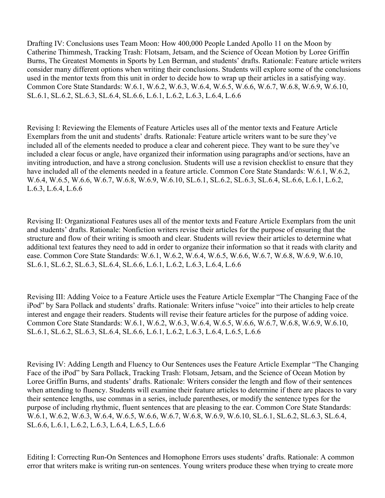Drafting IV: Conclusions uses Team Moon: How 400,000 People Landed Apollo 11 on the Moon by Catherine Thimmesh, Tracking Trash: Flotsam, Jetsam, and the Science of Ocean Motion by Loree Griffin Burns, The Greatest Moments in Sports by Len Berman, and students' drafts. Rationale: Feature article writers consider many different options when writing their conclusions. Students will explore some of the conclusions used in the mentor texts from this unit in order to decide how to wrap up their articles in a satisfying way. Common Core State Standards: W.6.1, W.6.2, W.6.3, W.6.4, W.6.5, W.6.6, W.6.7, W.6.8, W.6.9, W.6.10, SL.6.1, SL.6.2, SL.6.3, SL.6.4, SL.6.6, L.6.1, L.6.2, L.6.3, L.6.4, L.6.6

Revising I: Reviewing the Elements of Feature Articles uses all of the mentor texts and Feature Article Exemplars from the unit and students' drafts. Rationale: Feature article writers want to be sure they've included all of the elements needed to produce a clear and coherent piece. They want to be sure they've included a clear focus or angle, have organized their information using paragraphs and/or sections, have an inviting introduction, and have a strong conclusion. Students will use a revision checklist to ensure that they have included all of the elements needed in a feature article. Common Core State Standards: W.6.1, W.6.2, W.6.4, W.6.5, W.6.6, W.6.7, W.6.8, W.6.9, W.6.10, SL.6.1, SL.6.2, SL.6.3, SL.6.4, SL.6.6, L.6.1, L.6.2, L.6.3, L.6.4, L.6.6

Revising II: Organizational Features uses all of the mentor texts and Feature Article Exemplars from the unit and students' drafts. Rationale: Nonfiction writers revise their articles for the purpose of ensuring that the structure and flow of their writing is smooth and clear. Students will review their articles to determine what additional text features they need to add in order to organize their information so that it reads with clarity and ease. Common Core State Standards: W.6.1, W.6.2, W.6.4, W.6.5, W.6.6, W.6.7, W.6.8, W.6.9, W.6.10, SL.6.1, SL.6.2, SL.6.3, SL.6.4, SL.6.6, L.6.1, L.6.2, L.6.3, L.6.4, L.6.6

Revising III: Adding Voice to a Feature Article uses the Feature Article Exemplar "The Changing Face of the iPod" by Sara Pollack and students' drafts. Rationale: Writers infuse "voice" into their articles to help create interest and engage their readers. Students will revise their feature articles for the purpose of adding voice. Common Core State Standards: W.6.1, W.6.2, W.6.3, W.6.4, W.6.5, W.6.6, W.6.7, W.6.8, W.6.9, W.6.10, SL.6.1, SL.6.2, SL.6.3, SL.6.4, SL.6.6, L.6.1, L.6.2, L.6.3, L.6.4, L.6.5, L.6.6

Revising IV: Adding Length and Fluency to Our Sentences uses the Feature Article Exemplar "The Changing Face of the iPod" by Sara Pollack, Tracking Trash: Flotsam, Jetsam, and the Science of Ocean Motion by Loree Griffin Burns, and students' drafts. Rationale: Writers consider the length and flow of their sentences when attending to fluency. Students will examine their feature articles to determine if there are places to vary their sentence lengths, use commas in a series, include parentheses, or modify the sentence types for the purpose of including rhythmic, fluent sentences that are pleasing to the ear. Common Core State Standards: W.6.1, W.6.2, W.6.3, W.6.4, W.6.5, W.6.6, W.6.7, W.6.8, W.6.9, W.6.10, SL.6.1, SL.6.2, SL.6.3, SL.6.4, SL.6.6, L.6.1, L.6.2, L.6.3, L.6.4, L.6.5, L.6.6

Editing I: Correcting Run-On Sentences and Homophone Errors uses students' drafts. Rationale: A common error that writers make is writing run-on sentences. Young writers produce these when trying to create more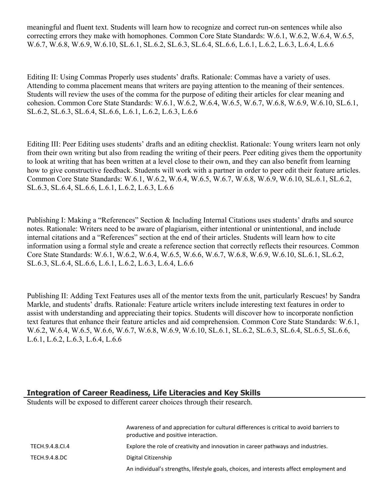meaningful and fluent text. Students will learn how to recognize and correct run-on sentences while also correcting errors they make with homophones. Common Core State Standards: W.6.1, W.6.2, W.6.4, W.6.5, W.6.7, W.6.8, W.6.9, W.6.10, SL.6.1, SL.6.2, SL.6.3, SL.6.4, SL.6.6, L.6.1, L.6.2, L.6.3, L.6.4, L.6.6

Editing II: Using Commas Properly uses students' drafts. Rationale: Commas have a variety of uses. Attending to comma placement means that writers are paying attention to the meaning of their sentences. Students will review the uses of the comma for the purpose of editing their articles for clear meaning and cohesion. Common Core State Standards: W.6.1, W.6.2, W.6.4, W.6.5, W.6.7, W.6.8, W.6.9, W.6.10, SL.6.1, SL.6.2, SL.6.3, SL.6.4, SL.6.6, L.6.1, L.6.2, L.6.3, L.6.6

Editing III: Peer Editing uses students' drafts and an editing checklist. Rationale: Young writers learn not only from their own writing but also from reading the writing of their peers. Peer editing gives them the opportunity to look at writing that has been written at a level close to their own, and they can also benefit from learning how to give constructive feedback. Students will work with a partner in order to peer edit their feature articles. Common Core State Standards: W.6.1, W.6.2, W.6.4, W.6.5, W.6.7, W.6.8, W.6.9, W.6.10, SL.6.1, SL.6.2, SL.6.3, SL.6.4, SL.6.6, L.6.1, L.6.2, L.6.3, L.6.6

Publishing I: Making a "References" Section & Including Internal Citations uses students' drafts and source notes. Rationale: Writers need to be aware of plagiarism, either intentional or unintentional, and include internal citations and a "References" section at the end of their articles. Students will learn how to cite information using a formal style and create a reference section that correctly reflects their resources. Common Core State Standards: W.6.1, W.6.2, W.6.4, W.6.5, W.6.6, W.6.7, W.6.8, W.6.9, W.6.10, SL.6.1, SL.6.2, SL.6.3, SL.6.4, SL.6.6, L.6.1, L.6.2, L.6.3, L.6.4, L.6.6

Publishing II: Adding Text Features uses all of the mentor texts from the unit, particularly Rescues! by Sandra Markle, and students' drafts. Rationale: Feature article writers include interesting text features in order to assist with understanding and appreciating their topics. Students will discover how to incorporate nonfiction text features that enhance their feature articles and aid comprehension. Common Core State Standards: W.6.1, W.6.2, W.6.4, W.6.5, W.6.6, W.6.7, W.6.8, W.6.9, W.6.10, SL.6.1, SL.6.2, SL.6.3, SL.6.4, SL.6.5, SL.6.6, L.6.1, L.6.2, L.6.3, L.6.4, L.6.6

#### **Integration of Career Readiness, Life Literacies and Key Skills**

Students will be exposed to different career choices through their research.

|                 | Awareness of and appreciation for cultural differences is critical to avoid barriers to<br>productive and positive interaction. |
|-----------------|---------------------------------------------------------------------------------------------------------------------------------|
| TECH.9.4.8.CI.4 | Explore the role of creativity and innovation in career pathways and industries.                                                |
| TECH.9.4.8.DC   | Digital Citizenship                                                                                                             |
|                 | An individual's strengths, lifestyle goals, choices, and interests affect employment and                                        |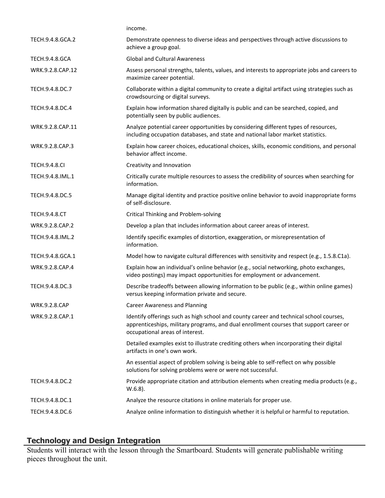|                       | income.                                                                                                                                                                                                             |
|-----------------------|---------------------------------------------------------------------------------------------------------------------------------------------------------------------------------------------------------------------|
| TECH.9.4.8.GCA.2      | Demonstrate openness to diverse ideas and perspectives through active discussions to<br>achieve a group goal.                                                                                                       |
| <b>TECH.9.4.8.GCA</b> | <b>Global and Cultural Awareness</b>                                                                                                                                                                                |
| WRK.9.2.8.CAP.12      | Assess personal strengths, talents, values, and interests to appropriate jobs and careers to<br>maximize career potential.                                                                                          |
| TECH.9.4.8.DC.7       | Collaborate within a digital community to create a digital artifact using strategies such as<br>crowdsourcing or digital surveys.                                                                                   |
| TECH.9.4.8.DC.4       | Explain how information shared digitally is public and can be searched, copied, and<br>potentially seen by public audiences.                                                                                        |
| WRK.9.2.8.CAP.11      | Analyze potential career opportunities by considering different types of resources,<br>including occupation databases, and state and national labor market statistics.                                              |
| WRK.9.2.8.CAP.3       | Explain how career choices, educational choices, skills, economic conditions, and personal<br>behavior affect income.                                                                                               |
| <b>TECH.9.4.8.CI</b>  | Creativity and Innovation                                                                                                                                                                                           |
| TECH.9.4.8.IML.1      | Critically curate multiple resources to assess the credibility of sources when searching for<br>information.                                                                                                        |
| TECH.9.4.8.DC.5       | Manage digital identity and practice positive online behavior to avoid inappropriate forms<br>of self-disclosure.                                                                                                   |
| <b>TECH.9.4.8.CT</b>  | <b>Critical Thinking and Problem-solving</b>                                                                                                                                                                        |
| WRK.9.2.8.CAP.2       | Develop a plan that includes information about career areas of interest.                                                                                                                                            |
| TECH.9.4.8.IML.2      | Identify specific examples of distortion, exaggeration, or misrepresentation of<br>information.                                                                                                                     |
| TECH.9.4.8.GCA.1      | Model how to navigate cultural differences with sensitivity and respect (e.g., 1.5.8.C1a).                                                                                                                          |
| WRK.9.2.8.CAP.4       | Explain how an individual's online behavior (e.g., social networking, photo exchanges,<br>video postings) may impact opportunities for employment or advancement.                                                   |
| TECH.9.4.8.DC.3       | Describe tradeoffs between allowing information to be public (e.g., within online games)<br>versus keeping information private and secure.                                                                          |
| WRK.9.2.8.CAP         | <b>Career Awareness and Planning</b>                                                                                                                                                                                |
| WRK.9.2.8.CAP.1       | Identify offerings such as high school and county career and technical school courses,<br>apprenticeships, military programs, and dual enrollment courses that support career or<br>occupational areas of interest. |
|                       | Detailed examples exist to illustrate crediting others when incorporating their digital<br>artifacts in one's own work.                                                                                             |
|                       | An essential aspect of problem solving is being able to self-reflect on why possible<br>solutions for solving problems were or were not successful.                                                                 |
| TECH.9.4.8.DC.2       | Provide appropriate citation and attribution elements when creating media products (e.g.,<br>$W.6.8$ ).                                                                                                             |
| TECH.9.4.8.DC.1       | Analyze the resource citations in online materials for proper use.                                                                                                                                                  |
| TECH.9.4.8.DC.6       | Analyze online information to distinguish whether it is helpful or harmful to reputation.                                                                                                                           |
|                       |                                                                                                                                                                                                                     |

## **Technology and Design Integration**

Students will interact with the lesson through the Smartboard. Students will generate publishable writing pieces throughout the unit.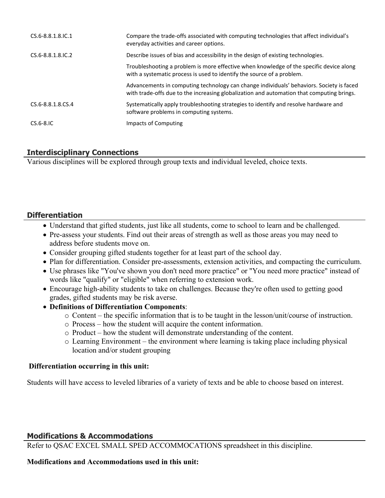| $CS.6 - 8.8.1.8$ . IC. 1 | Compare the trade-offs associated with computing technologies that affect individual's<br>everyday activities and career options.                                                     |
|--------------------------|---------------------------------------------------------------------------------------------------------------------------------------------------------------------------------------|
| $CS.6 - 8.8.1.8$ . IC. 2 | Describe issues of bias and accessibility in the design of existing technologies.                                                                                                     |
|                          | Troubleshooting a problem is more effective when knowledge of the specific device along<br>with a systematic process is used to identify the source of a problem.                     |
|                          | Advancements in computing technology can change individuals' behaviors. Society is faced<br>with trade-offs due to the increasing globalization and automation that computing brings. |
| CS.6-8.8.1.8.CS.4        | Systematically apply troubleshooting strategies to identify and resolve hardware and<br>software problems in computing systems.                                                       |
| $CS.6-8.1C$              | Impacts of Computing                                                                                                                                                                  |

## **Interdisciplinary Connections**

Various disciplines will be explored through group texts and individual leveled, choice texts.

## **Differentiation**

- Understand that gifted students, just like all students, come to school to learn and be challenged.
- Pre-assess your students. Find out their areas of strength as well as those areas you may need to address before students move on.
- Consider grouping gifted students together for at least part of the school day.
- Plan for differentiation. Consider pre-assessments, extension activities, and compacting the curriculum.
- Use phrases like "You've shown you don't need more practice" or "You need more practice" instead of words like "qualify" or "eligible" when referring to extension work.
- Encourage high-ability students to take on challenges. Because they're often used to getting good grades, gifted students may be risk averse.
- **Definitions of Differentiation Components**:
	- o Content the specific information that is to be taught in the lesson/unit/course of instruction.
	- o Process how the student will acquire the content information.
	- o Product how the student will demonstrate understanding of the content.
	- o Learning Environment the environment where learning is taking place including physical location and/or student grouping

## **Differentiation occurring in this unit:**

Students will have access to leveled libraries of a variety of texts and be able to choose based on interest.

## **Modifications & Accommodations**

Refer to QSAC EXCEL SMALL SPED ACCOMMOCATIONS spreadsheet in this discipline.

## **Modifications and Accommodations used in this unit:**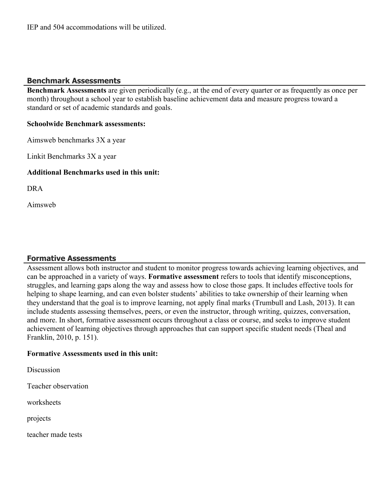IEP and 504 accommodations will be utilized.

## **Benchmark Assessments**

**Benchmark Assessments** are given periodically (e.g., at the end of every quarter or as frequently as once per month) throughout a school year to establish baseline achievement data and measure progress toward a standard or set of academic standards and goals.

#### **Schoolwide Benchmark assessments:**

Aimsweb benchmarks 3X a year

Linkit Benchmarks 3X a year

#### **Additional Benchmarks used in this unit:**

DRA

Aimsweb

#### **Formative Assessments**

Assessment allows both instructor and student to monitor progress towards achieving learning objectives, and can be approached in a variety of ways. **Formative assessment** refers to tools that identify misconceptions, struggles, and learning gaps along the way and assess how to close those gaps. It includes effective tools for helping to shape learning, and can even bolster students' abilities to take ownership of their learning when they understand that the goal is to improve learning, not apply final marks (Trumbull and Lash, 2013). It can include students assessing themselves, peers, or even the instructor, through writing, quizzes, conversation, and more. In short, formative assessment occurs throughout a class or course, and seeks to improve student achievement of learning objectives through approaches that can support specific student needs (Theal and Franklin, 2010, p. 151).

#### **Formative Assessments used in this unit:**

**Discussion** 

Teacher observation

worksheets

projects

teacher made tests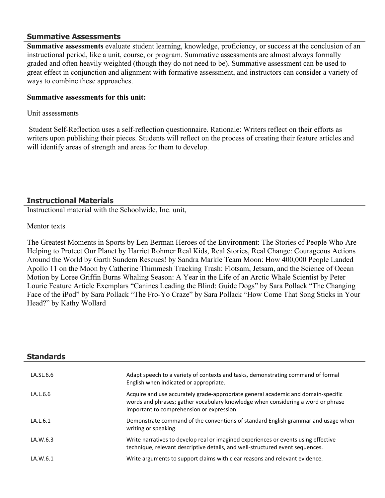#### **Summative Assessments**

**Summative assessments** evaluate student learning, knowledge, proficiency, or success at the conclusion of an instructional period, like a unit, course, or program. Summative assessments are almost always formally graded and often heavily weighted (though they do not need to be). Summative assessment can be used to great effect in conjunction and alignment with formative assessment, and instructors can consider a variety of ways to combine these approaches.

#### **Summative assessments for this unit:**

#### Unit assessments

 Student Self-Reflection uses a self-reflection questionnaire. Rationale: Writers reflect on their efforts as writers upon publishing their pieces. Students will reflect on the process of creating their feature articles and will identify areas of strength and areas for them to develop.

## **Instructional Materials**

Instructional material with the Schoolwide, Inc. unit,

#### Mentor texts

The Greatest Moments in Sports by Len Berman Heroes of the Environment: The Stories of People Who Are Helping to Protect Our Planet by Harriet Rohmer Real Kids, Real Stories, Real Change: Courageous Actions Around the World by Garth Sundem Rescues! by Sandra Markle Team Moon: How 400,000 People Landed Apollo 11 on the Moon by Catherine Thimmesh Tracking Trash: Flotsam, Jetsam, and the Science of Ocean Motion by Loree Griffin Burns Whaling Season: A Year in the Life of an Arctic Whale Scientist by Peter Lourie Feature Article Exemplars "Canines Leading the Blind: Guide Dogs" by Sara Pollack "The Changing Face of the iPod" by Sara Pollack "The Fro-Yo Craze" by Sara Pollack "How Come That Song Sticks in Your Head?" by Kathy Wollard

| <b>Standards</b> |                                                                                                                                                                                                                    |
|------------------|--------------------------------------------------------------------------------------------------------------------------------------------------------------------------------------------------------------------|
| LA.SL.6.6        | Adapt speech to a variety of contexts and tasks, demonstrating command of formal<br>English when indicated or appropriate.                                                                                         |
| LA.L6.6          | Acquire and use accurately grade-appropriate general academic and domain-specific<br>words and phrases; gather vocabulary knowledge when considering a word or phrase<br>important to comprehension or expression. |
| LA.L.6.1         | Demonstrate command of the conventions of standard English grammar and usage when<br>writing or speaking.                                                                                                          |
| LA.W.6.3         | Write narratives to develop real or imagined experiences or events using effective<br>technique, relevant descriptive details, and well-structured event sequences.                                                |
| LA.W.6.1         | Write arguments to support claims with clear reasons and relevant evidence.                                                                                                                                        |